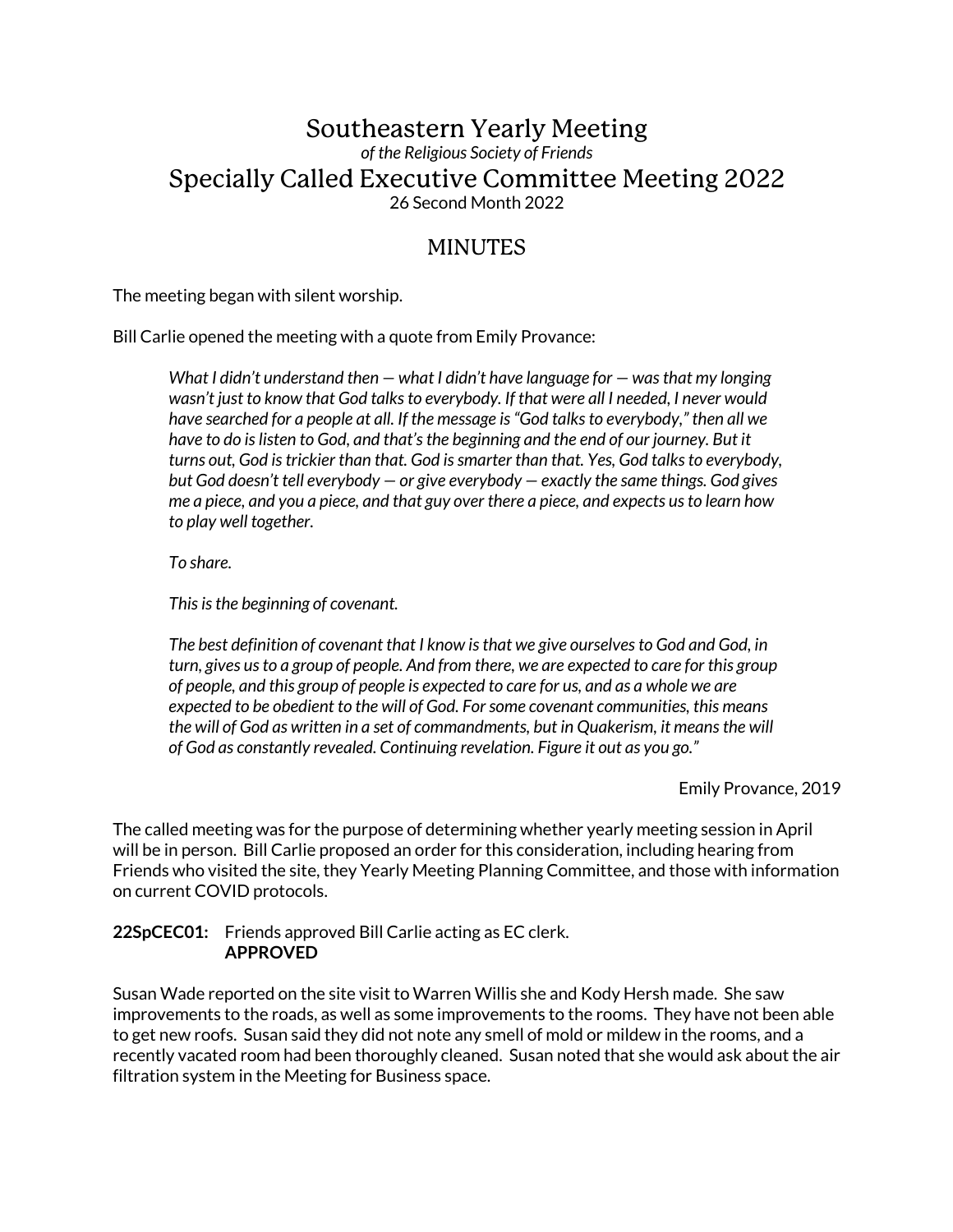# Southeastern Yearly Meeting *of the Religious Society of Friends* Specially Called Executive Committee Meeting 2022 26 Second Month 2022

# MINUTES

The meeting began with silent worship.

Bill Carlie opened the meeting with a quote from Emily Provance:

*What I didn't understand then — what I didn't have language for — was that my longing wasn't just to know that God talks to everybody. If that were all I needed, I never would have searched for a people at all. If the message is "God talks to everybody," then all we have to do is listen to God, and that's the beginning and the end of our journey. But it turns out, God is trickier than that. God is smarter than that. Yes, God talks to everybody, but God doesn't tell everybody — or give everybody — exactly the same things. God gives me a piece, and you a piece, and that guy over there a piece, and expects us to learn how to play well together.* 

*To share.* 

*This is the beginning of covenant.* 

*The best definition of covenant that I know is that we give ourselves to God and God, in turn, gives us to a group of people. And from there, we are expected to care for this group of people, and this group of people is expected to care for us, and as a whole we are expected to be obedient to the will of God. For some covenant communities, this means the will of God as written in a set of commandments, but in Quakerism, it means the will of God as constantly revealed. Continuing revelation. Figure it out as you go."* 

Emily Provance, 2019

The called meeting was for the purpose of determining whether yearly meeting session in April will be in person. Bill Carlie proposed an order for this consideration, including hearing from Friends who visited the site, they Yearly Meeting Planning Committee, and those with information on current COVID protocols.

## **22SpCEC01:** Friends approved Bill Carlie acting as EC clerk. **APPROVED**

Susan Wade reported on the site visit to Warren Willis she and Kody Hersh made. She saw improvements to the roads, as well as some improvements to the rooms. They have not been able to get new roofs. Susan said they did not note any smell of mold or mildew in the rooms, and a recently vacated room had been thoroughly cleaned. Susan noted that she would ask about the air filtration system in the Meeting for Business space.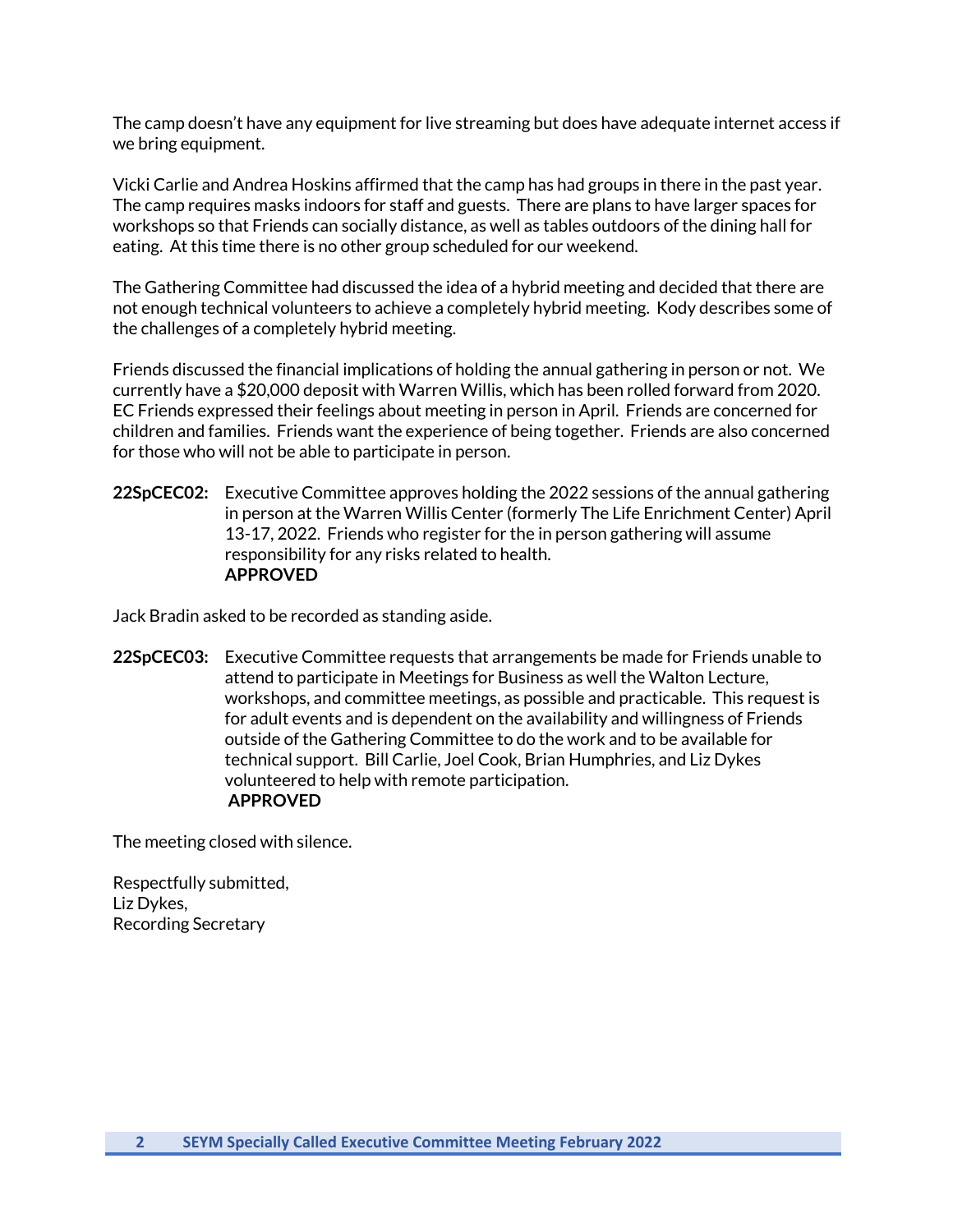The camp doesn't have any equipment for live streaming but does have adequate internet access if we bring equipment.

Vicki Carlie and Andrea Hoskins affirmed that the camp has had groups in there in the past year. The camp requires masks indoors for staff and guests. There are plans to have larger spaces for workshops so that Friends can socially distance, as well as tables outdoors of the dining hall for eating. At this time there is no other group scheduled for our weekend.

The Gathering Committee had discussed the idea of a hybrid meeting and decided that there are not enough technical volunteers to achieve a completely hybrid meeting. Kody describes some of the challenges of a completely hybrid meeting.

Friends discussed the financial implications of holding the annual gathering in person or not. We currently have a \$20,000 deposit with Warren Willis, which has been rolled forward from 2020. EC Friends expressed their feelings about meeting in person in April. Friends are concerned for children and families. Friends want the experience of being together. Friends are also concerned for those who will not be able to participate in person.

**22SpCEC02:** Executive Committee approves holding the 2022 sessions of the annual gathering in person at the Warren Willis Center (formerly The Life Enrichment Center) April 13-17, 2022. Friends who register for the in person gathering will assume responsibility for any risks related to health. **APPROVED**

Jack Bradin asked to be recorded as standing aside.

**22SpCEC03:** Executive Committee requests that arrangements be made for Friends unable to attend to participate in Meetings for Business as well the Walton Lecture, workshops, and committee meetings, as possible and practicable. This request is for adult events and is dependent on the availability and willingness of Friends outside of the Gathering Committee to do the work and to be available for technical support. Bill Carlie, Joel Cook, Brian Humphries, and Liz Dykes volunteered to help with remote participation. **APPROVED**

The meeting closed with silence.

Respectfully submitted, Liz Dykes, Recording Secretary